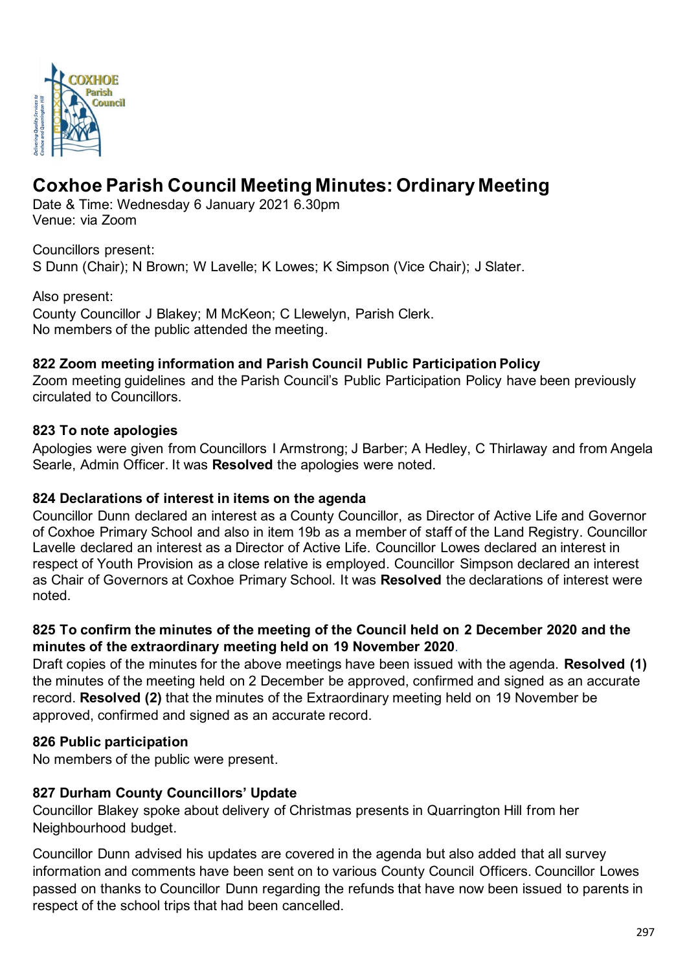

# **Coxhoe Parish Council Meeting Minutes: Ordinary Meeting**

Date & Time: Wednesday 6 January 2021 6.30pm Venue: via Zoom

Councillors present: S Dunn (Chair); N Brown; W Lavelle; K Lowes; K Simpson (Vice Chair); J Slater.

Also present:

County Councillor J Blakey; M McKeon; C Llewelyn, Parish Clerk. No members of the public attended the meeting.

# **822 Zoom meeting information and Parish Council Public Participation Policy**

Zoom meeting guidelines and the Parish Council's Public Participation Policy have been previously circulated to Councillors.

# **823 To note apologies**

Apologies were given from Councillors I Armstrong; J Barber; A Hedley, C Thirlaway and from Angela Searle, Admin Officer. It was **Resolved** the apologies were noted.

#### **824 Declarations of interest in items on the agenda**

Councillor Dunn declared an interest as a County Councillor, as Director of Active Life and Governor of Coxhoe Primary School and also in item 19b as a member of staff of the Land Registry. Councillor Lavelle declared an interest as a Director of Active Life. Councillor Lowes declared an interest in respect of Youth Provision as a close relative is employed. Councillor Simpson declared an interest as Chair of Governors at Coxhoe Primary School. It was **Resolved** the declarations of interest were noted.

# **825 To confirm the minutes of the meeting of the Council held on 2 December 2020 and the minutes of the extraordinary meeting held on 19 November 2020**.

Draft copies of the minutes for the above meetings have been issued with the agenda. **Resolved (1)** the minutes of the meeting held on 2 December be approved, confirmed and signed as an accurate record. **Resolved (2)** that the minutes of the Extraordinary meeting held on 19 November be approved, confirmed and signed as an accurate record.

# **826 Public participation**

No members of the public were present.

# **827 Durham County Councillors' Update**

Councillor Blakey spoke about delivery of Christmas presents in Quarrington Hill from her Neighbourhood budget.

Councillor Dunn advised his updates are covered in the agenda but also added that all survey information and comments have been sent on to various County Council Officers. Councillor Lowes passed on thanks to Councillor Dunn regarding the refunds that have now been issued to parents in respect of the school trips that had been cancelled.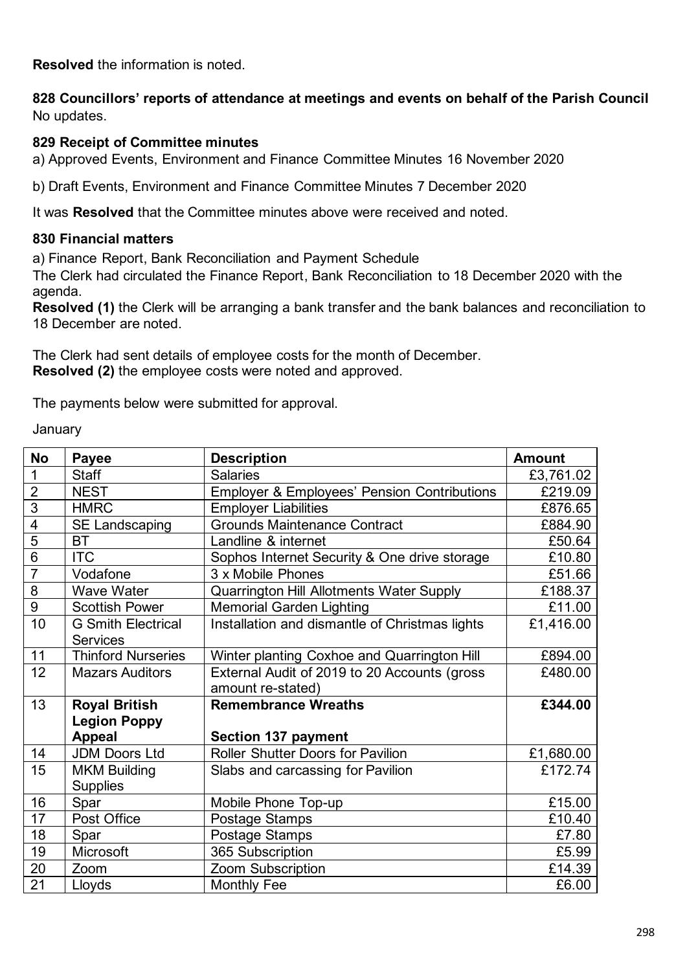**Resolved** the information is noted.

**828 Councillors' reports of attendance at meetings and events on behalf of the Parish Council** No updates.

#### **829 Receipt of Committee minutes**

a) Approved Events, Environment and Finance Committee Minutes 16 November 2020

b) Draft Events, Environment and Finance Committee Minutes 7 December 2020

It was **Resolved** that the Committee minutes above were received and noted.

#### **830 Financial matters**

a) Finance Report, Bank Reconciliation and Payment Schedule

The Clerk had circulated the Finance Report, Bank Reconciliation to 18 December 2020 with the agenda.

**Resolved (1)** the Clerk will be arranging a bank transfer and the bank balances and reconciliation to 18 December are noted.

The Clerk had sent details of employee costs for the month of December. **Resolved (2)** the employee costs were noted and approved.

The payments below were submitted for approval.

**January** 

| <b>No</b>      | <b>Payee</b>                                 | <b>Description</b>                                                | <b>Amount</b> |
|----------------|----------------------------------------------|-------------------------------------------------------------------|---------------|
| 1              | <b>Staff</b>                                 | <b>Salaries</b>                                                   | £3,761.02     |
| $\overline{2}$ | <b>NEST</b>                                  | <b>Employer &amp; Employees' Pension Contributions</b>            | £219.09       |
| 3              | <b>HMRC</b>                                  | <b>Employer Liabilities</b>                                       | £876.65       |
| 4              | <b>SE Landscaping</b>                        | <b>Grounds Maintenance Contract</b>                               | £884.90       |
| 5              | <b>BT</b>                                    | Landline & internet                                               | £50.64        |
| $\overline{6}$ | <b>ITC</b>                                   | Sophos Internet Security & One drive storage<br>£10.80            |               |
| $\overline{7}$ | Vodafone                                     | 3 x Mobile Phones                                                 |               |
| 8              | <b>Wave Water</b>                            | <b>Quarrington Hill Allotments Water Supply</b>                   | £188.37       |
| 9              | <b>Scottish Power</b>                        | <b>Memorial Garden Lighting</b>                                   | £11.00        |
| 10             | <b>G Smith Electrical</b><br><b>Services</b> | Installation and dismantle of Christmas lights<br>£1,416.00       |               |
| 11             | <b>Thinford Nurseries</b>                    | Winter planting Coxhoe and Quarrington Hill                       | £894.00       |
| 12             | <b>Mazars Auditors</b>                       | External Audit of 2019 to 20 Accounts (gross<br>amount re-stated) | £480.00       |
| 13             | <b>Royal British</b>                         | <b>Remembrance Wreaths</b>                                        | £344.00       |
|                | <b>Legion Poppy</b>                          |                                                                   |               |
|                | <b>Appeal</b>                                | <b>Section 137 payment</b>                                        |               |
| 14             | <b>JDM Doors Ltd</b>                         | Roller Shutter Doors for Pavilion                                 | £1,680.00     |
| 15             | <b>MKM Building</b>                          | Slabs and carcassing for Pavilion                                 | £172.74       |
|                | <b>Supplies</b>                              |                                                                   |               |
| 16             | Spar                                         | Mobile Phone Top-up                                               | £15.00        |
| 17             | Post Office                                  | Postage Stamps                                                    | £10.40        |
| 18             | Spar                                         | Postage Stamps                                                    | £7.80         |
| 19             | Microsoft                                    | 365 Subscription                                                  |               |
| 20             | Zoom                                         | Zoom Subscription                                                 | £14.39        |
| 21             | Lloyds                                       | <b>Monthly Fee</b>                                                | £6.00         |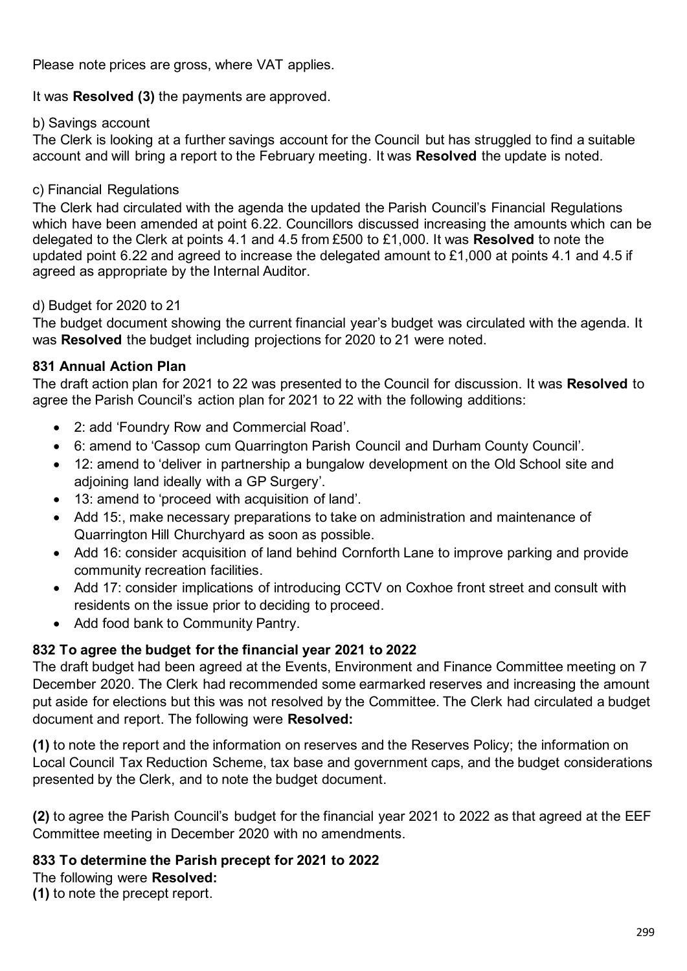Please note prices are gross, where VAT applies.

It was **Resolved (3)** the payments are approved.

#### b) Savings account

The Clerk is looking at a further savings account for the Council but has struggled to find a suitable account and will bring a report to the February meeting. It was **Resolved** the update is noted.

# c) Financial Regulations

The Clerk had circulated with the agenda the updated the Parish Council's Financial Regulations which have been amended at point 6.22. Councillors discussed increasing the amounts which can be delegated to the Clerk at points 4.1 and 4.5 from £500 to £1,000. It was **Resolved** to note the updated point 6.22 and agreed to increase the delegated amount to £1,000 at points 4.1 and 4.5 if agreed as appropriate by the Internal Auditor.

# d) Budget for 2020 to 21

The budget document showing the current financial year's budget was circulated with the agenda. It was **Resolved** the budget including projections for 2020 to 21 were noted.

# **831 Annual Action Plan**

The draft action plan for 2021 to 22 was presented to the Council for discussion. It was **Resolved** to agree the Parish Council's action plan for 2021 to 22 with the following additions:

- 2: add 'Foundry Row and Commercial Road'.
- 6: amend to 'Cassop cum Quarrington Parish Council and Durham County Council'.
- 12: amend to 'deliver in partnership a bungalow development on the Old School site and adjoining land ideally with a GP Surgery'.
- 13: amend to 'proceed with acquisition of land'.
- Add 15:, make necessary preparations to take on administration and maintenance of Quarrington Hill Churchyard as soon as possible.
- Add 16: consider acquisition of land behind Cornforth Lane to improve parking and provide community recreation facilities.
- Add 17: consider implications of introducing CCTV on Coxhoe front street and consult with residents on the issue prior to deciding to proceed.
- Add food bank to Community Pantry.

# **832 To agree the budget for the financial year 2021 to 2022**

The draft budget had been agreed at the Events, Environment and Finance Committee meeting on 7 December 2020. The Clerk had recommended some earmarked reserves and increasing the amount put aside for elections but this was not resolved by the Committee. The Clerk had circulated a budget document and report. The following were **Resolved:**

**(1)** to note the report and the information on reserves and the Reserves Policy; the information on Local Council Tax Reduction Scheme, tax base and government caps, and the budget considerations presented by the Clerk, and to note the budget document.

**(2)** to agree the Parish Council's budget for the financial year 2021 to 2022 as that agreed at the EEF Committee meeting in December 2020 with no amendments.

#### **833 To determine the Parish precept for 2021 to 2022**

The following were **Resolved:**

**(1)** to note the precept report.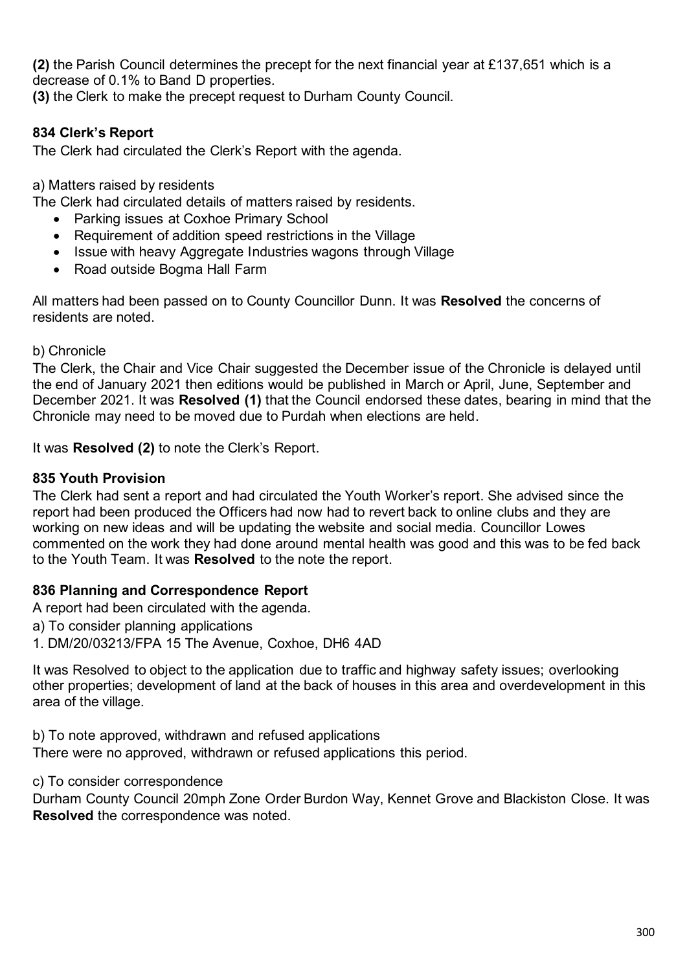**(2)** the Parish Council determines the precept for the next financial year at £137,651 which is a decrease of 0.1% to Band D properties.

**(3)** the Clerk to make the precept request to Durham County Council.

# **834 Clerk's Report**

The Clerk had circulated the Clerk's Report with the agenda.

a) Matters raised by residents

The Clerk had circulated details of matters raised by residents.

- Parking issues at Coxhoe Primary School
- Requirement of addition speed restrictions in the Village
- Issue with heavy Aggregate Industries wagons through Village
- Road outside Bogma Hall Farm

All matters had been passed on to County Councillor Dunn. It was **Resolved** the concerns of residents are noted.

b) Chronicle

The Clerk, the Chair and Vice Chair suggested the December issue of the Chronicle is delayed until the end of January 2021 then editions would be published in March or April, June, September and December 2021. It was **Resolved (1)** that the Council endorsed these dates, bearing in mind that the Chronicle may need to be moved due to Purdah when elections are held.

It was **Resolved (2)** to note the Clerk's Report.

#### **835 Youth Provision**

The Clerk had sent a report and had circulated the Youth Worker's report. She advised since the report had been produced the Officers had now had to revert back to online clubs and they are working on new ideas and will be updating the website and social media. Councillor Lowes commented on the work they had done around mental health was good and this was to be fed back to the Youth Team. It was **Resolved** to the note the report.

#### **836 Planning and Correspondence Report**

A report had been circulated with the agenda.

a) To consider planning applications

1. DM/20/03213/FPA 15 The Avenue, Coxhoe, DH6 4AD

It was Resolved to object to the application due to traffic and highway safety issues; overlooking other properties; development of land at the back of houses in this area and overdevelopment in this area of the village.

b) To note approved, withdrawn and refused applications There were no approved, withdrawn or refused applications this period.

c) To consider correspondence

Durham County Council 20mph Zone Order Burdon Way, Kennet Grove and Blackiston Close. It was **Resolved** the correspondence was noted.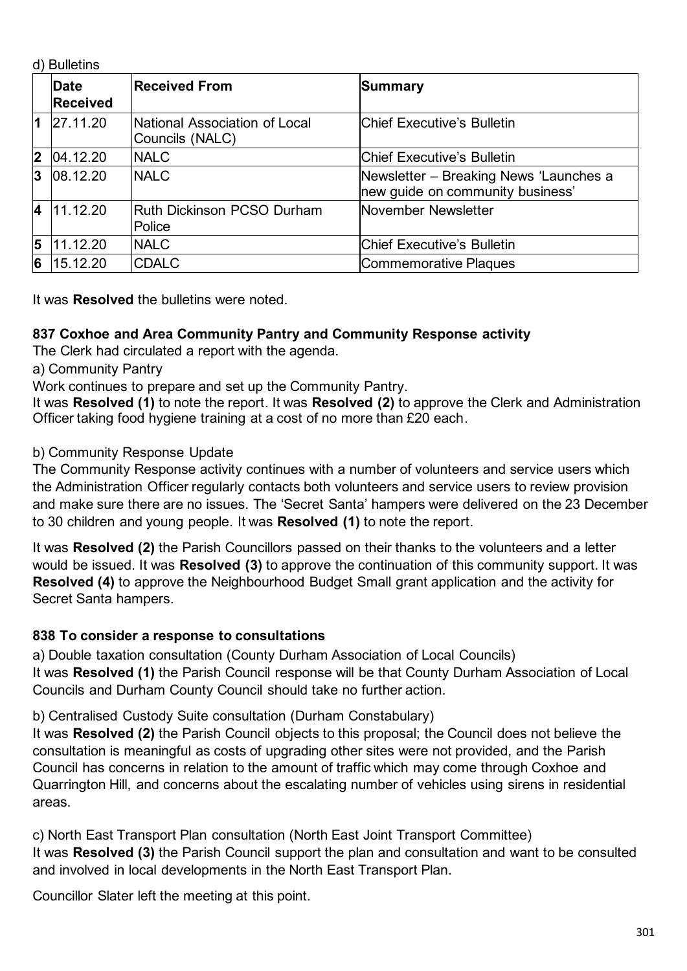d) Bulletins

|                         | <b>Date</b><br><b>Received</b> | <b>Received From</b>                             | Summary                                                                    |  |  |
|-------------------------|--------------------------------|--------------------------------------------------|----------------------------------------------------------------------------|--|--|
| $\blacksquare$          | 27.11.20                       | National Association of Local<br>Councils (NALC) | <b>Chief Executive's Bulletin</b>                                          |  |  |
| 2                       | 04.12.20                       | <b>NALC</b>                                      | <b>Chief Executive's Bulletin</b>                                          |  |  |
| 3                       | 08.12.20                       | <b>NALC</b>                                      | Newsletter – Breaking News 'Launches a<br>new guide on community business' |  |  |
| $\overline{\mathbf{4}}$ | 11.12.20                       | <b>Ruth Dickinson PCSO Durham</b><br>Police      | November Newsletter                                                        |  |  |
| 5                       | 11.12.20                       | <b>NALC</b>                                      | Chief Executive's Bulletin                                                 |  |  |
| 6                       | 15.12.20                       | <b>CDALC</b>                                     | Commemorative Plaques                                                      |  |  |

It was **Resolved** the bulletins were noted.

# **837 Coxhoe and Area Community Pantry and Community Response activity**

The Clerk had circulated a report with the agenda.

a) Community Pantry

Work continues to prepare and set up the Community Pantry.

It was **Resolved (1)** to note the report. It was **Resolved (2)** to approve the Clerk and Administration Officer taking food hygiene training at a cost of no more than £20 each.

#### b) Community Response Update

The Community Response activity continues with a number of volunteers and service users which the Administration Officer regularly contacts both volunteers and service users to review provision and make sure there are no issues. The 'Secret Santa' hampers were delivered on the 23 December to 30 children and young people. It was **Resolved (1)** to note the report.

It was **Resolved (2)** the Parish Councillors passed on their thanks to the volunteers and a letter would be issued. It was **Resolved (3)** to approve the continuation of this community support. It was **Resolved (4)** to approve the Neighbourhood Budget Small grant application and the activity for Secret Santa hampers.

#### **838 To consider a response to consultations**

a) Double taxation consultation (County Durham Association of Local Councils) It was **Resolved (1)** the Parish Council response will be that County Durham Association of Local Councils and Durham County Council should take no further action.

b) Centralised Custody Suite consultation (Durham Constabulary)

It was **Resolved (2)** the Parish Council objects to this proposal; the Council does not believe the consultation is meaningful as costs of upgrading other sites were not provided, and the Parish Council has concerns in relation to the amount of traffic which may come through Coxhoe and Quarrington Hill, and concerns about the escalating number of vehicles using sirens in residential areas.

c) North East Transport Plan consultation (North East Joint Transport Committee) It was **Resolved (3)** the Parish Council support the plan and consultation and want to be consulted and involved in local developments in the North East Transport Plan.

Councillor Slater left the meeting at this point.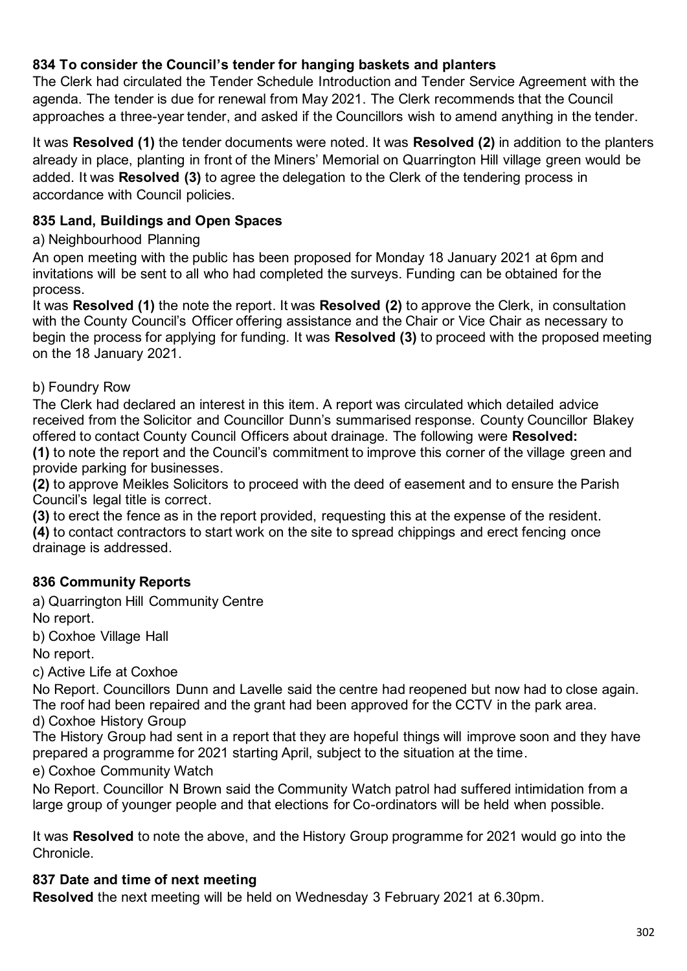# **834 To consider the Council's tender for hanging baskets and planters**

The Clerk had circulated the Tender Schedule Introduction and Tender Service Agreement with the agenda. The tender is due for renewal from May 2021. The Clerk recommends that the Council approaches a three-year tender, and asked if the Councillors wish to amend anything in the tender.

It was **Resolved (1)** the tender documents were noted. It was **Resolved (2)** in addition to the planters already in place, planting in front of the Miners' Memorial on Quarrington Hill village green would be added. It was **Resolved (3)** to agree the delegation to the Clerk of the tendering process in accordance with Council policies.

#### **835 Land, Buildings and Open Spaces**

a) Neighbourhood Planning

An open meeting with the public has been proposed for Monday 18 January 2021 at 6pm and invitations will be sent to all who had completed the surveys. Funding can be obtained for the process.

It was **Resolved (1)** the note the report. It was **Resolved (2)** to approve the Clerk, in consultation with the County Council's Officer offering assistance and the Chair or Vice Chair as necessary to begin the process for applying for funding. It was **Resolved (3)** to proceed with the proposed meeting on the 18 January 2021.

# b) Foundry Row

The Clerk had declared an interest in this item. A report was circulated which detailed advice received from the Solicitor and Councillor Dunn's summarised response. County Councillor Blakey offered to contact County Council Officers about drainage. The following were **Resolved:**

**(1)** to note the report and the Council's commitment to improve this corner of the village green and provide parking for businesses.

**(2)** to approve Meikles Solicitors to proceed with the deed of easement and to ensure the Parish Council's legal title is correct.

**(3)** to erect the fence as in the report provided, requesting this at the expense of the resident. **(4)** to contact contractors to start work on the site to spread chippings and erect fencing once drainage is addressed.

# **836 Community Reports**

a) Quarrington Hill Community Centre No report.

b) Coxhoe Village Hall

No report.

c) Active Life at Coxhoe

No Report. Councillors Dunn and Lavelle said the centre had reopened but now had to close again. The roof had been repaired and the grant had been approved for the CCTV in the park area.

d) Coxhoe History Group

The History Group had sent in a report that they are hopeful things will improve soon and they have prepared a programme for 2021 starting April, subject to the situation at the time.

e) Coxhoe Community Watch

No Report. Councillor N Brown said the Community Watch patrol had suffered intimidation from a large group of younger people and that elections for Co-ordinators will be held when possible.

It was **Resolved** to note the above, and the History Group programme for 2021 would go into the **Chronicle** 

#### **837 Date and time of next meeting**

**Resolved** the next meeting will be held on Wednesday 3 February 2021 at 6.30pm.